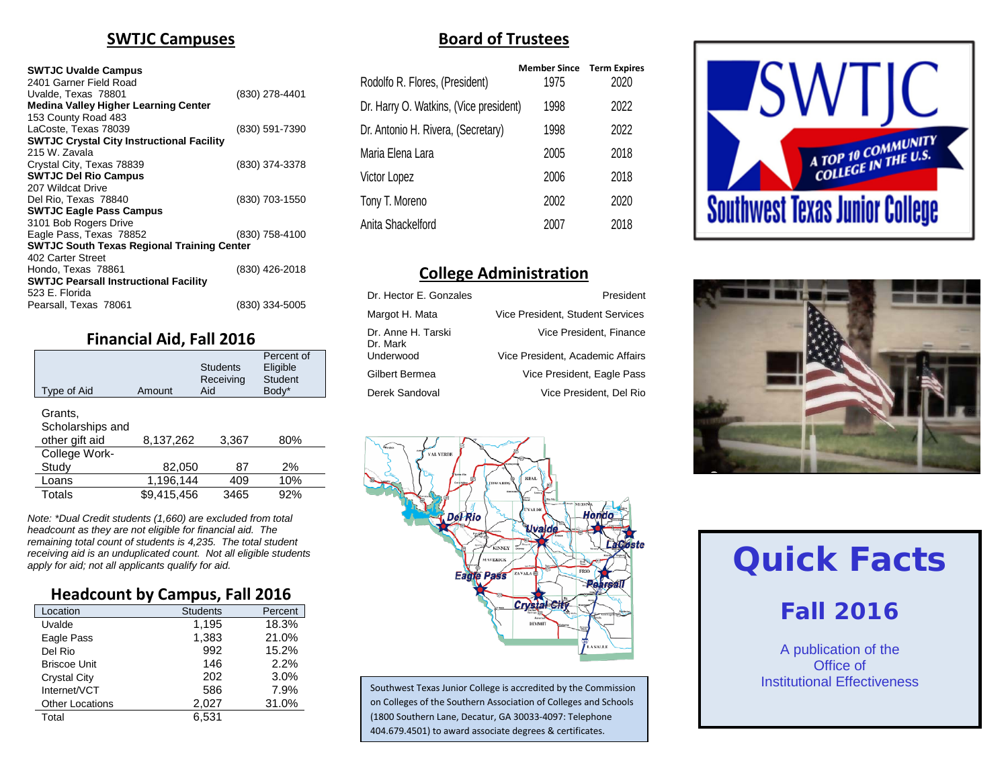#### **SWTJC Campuses**

#### **SWTJC Uvalde Campus**

| 2401 Garner Field Road<br>Uvalde, Texas 78801<br><b>Medina Valley Higher Learning Center</b> | (830) 278-4401 |
|----------------------------------------------------------------------------------------------|----------------|
| 153 County Road 483                                                                          |                |
| LaCoste. Texas 78039                                                                         | (830) 591-7390 |
| <b>SWTJC Crystal City Instructional Facility</b>                                             |                |
| 215 W. Zavala                                                                                |                |
| Crystal City, Texas 78839                                                                    | (830) 374-3378 |
| <b>SWTJC Del Rio Campus</b>                                                                  |                |
| 207 Wildcat Drive                                                                            |                |
| Del Rio, Texas 78840                                                                         | (830) 703-1550 |
| <b>SWTJC Eagle Pass Campus</b>                                                               |                |
| 3101 Bob Rogers Drive                                                                        |                |
| Eagle Pass, Texas 78852                                                                      | (830) 758-4100 |
| <b>SWTJC South Texas Regional Training Center</b>                                            |                |
| 402 Carter Street                                                                            |                |
| Hondo, Texas 78861                                                                           | (830) 426-2018 |
| <b>SWTJC Pearsall Instructional Facility</b>                                                 |                |
| 523 E. Florida                                                                               |                |
| Pearsall, Texas 78061                                                                        | (830) 334-5005 |

#### **Financial Aid, Fall 2016**

| Type of Aid                                   | Amount      | <b>Students</b><br>Receiving<br>Aid | Percent of<br>Eligible<br>Student<br>Body* |
|-----------------------------------------------|-------------|-------------------------------------|--------------------------------------------|
| Grants,<br>Scholarships and<br>other gift aid | 8,137,262   | 3,367                               | 80%                                        |
| College Work-                                 |             |                                     |                                            |
| Study                                         | 82,050      | 87                                  | 2%                                         |
| Loans                                         | 1,196,144   | 409                                 | 10%                                        |
| Totals                                        | \$9,415,456 | 3465                                | 92%                                        |

*Note: \*Dual Credit students (1,660) are excluded from total headcount as they are not eligible for financial aid. The remaining total count of students is 4,235. The total student receiving aid is an unduplicated count. Not all eligible students apply for aid; not all applicants qualify for aid.*

#### **Headcount by Campus, Fall 2016**

| Location               | <b>Students</b> | Percent |
|------------------------|-----------------|---------|
| Uvalde                 | 1,195           | 18.3%   |
| Eagle Pass             | 1,383           | 21.0%   |
| Del Rio                | 992             | 15.2%   |
| <b>Briscoe Unit</b>    | 146             | 2.2%    |
| <b>Crystal City</b>    | 202             | 3.0%    |
| Internet/VCT           | 586             | 7.9%    |
| <b>Other Locations</b> | 2,027           | 31.0%   |
| Total                  | 6.531           |         |

#### **Board of Trustees**

|                                        | <b>Member Since Term Expires</b> |      |
|----------------------------------------|----------------------------------|------|
| Rodolfo R. Flores, (President)         | 1975                             | 2020 |
| Dr. Harry O. Watkins, (Vice president) | 1998                             | 2022 |
| Dr. Antonio H. Rivera, (Secretary)     | 1998                             | 2022 |
| Maria Elena Lara                       | 2005                             | 2018 |
| Victor Lopez                           | 2006                             | 2018 |
| Tony T. Moreno                         | 2002                             | 2020 |
| Anita Shackelford                      | 2007                             | 2018 |
|                                        |                                  |      |

#### **College Administration**

| Dr. Hector E. Gonzales         | President                        |
|--------------------------------|----------------------------------|
| Margot H. Mata                 | Vice President, Student Services |
| Dr. Anne H. Tarski<br>Dr. Mark | Vice President, Finance          |
| Underwood                      | Vice President, Academic Affairs |
| Gilbert Bermea                 | Vice President, Eagle Pass       |
| Derek Sandoval                 | Vice President, Del Rio          |







Southwest Texas Junior College is accredited by the Commission on Colleges of the Southern Association of Colleges and Schools (1800 Southern Lane, Decatur, GA 30033-4097: Telephone 404.679.4501) to award associate degrees & certificates.

# **Quick Facts**

# **Fall 2016**

A publication of the Office of Institutional Effectiveness